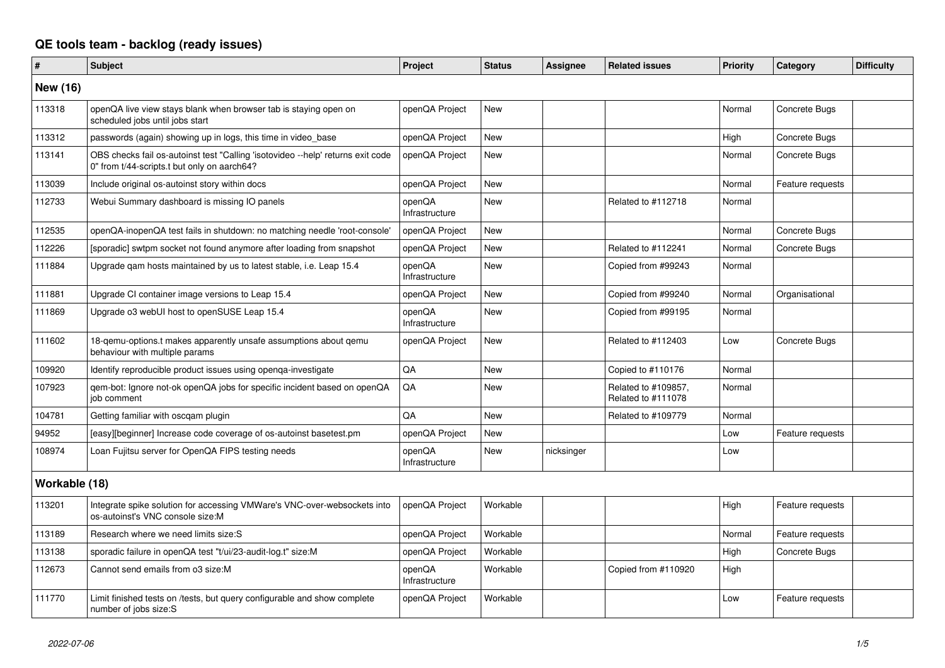## **QE tools team - backlog (ready issues)**

| $\vert$ #       | <b>Subject</b>                                                                                                                 | Project                  | <b>Status</b> | <b>Assignee</b> | <b>Related issues</b>                     | <b>Priority</b> | Category         | <b>Difficulty</b> |
|-----------------|--------------------------------------------------------------------------------------------------------------------------------|--------------------------|---------------|-----------------|-------------------------------------------|-----------------|------------------|-------------------|
| <b>New (16)</b> |                                                                                                                                |                          |               |                 |                                           |                 |                  |                   |
| 113318          | openQA live view stays blank when browser tab is staying open on<br>scheduled jobs until jobs start                            | openQA Project           | New           |                 |                                           | Normal          | Concrete Bugs    |                   |
| 113312          | passwords (again) showing up in logs, this time in video base                                                                  | openQA Project           | New           |                 |                                           | High            | Concrete Bugs    |                   |
| 113141          | OBS checks fail os-autoinst test "Calling 'isotovideo --help' returns exit code<br>0" from t/44-scripts.t but only on aarch64? | openQA Project           | <b>New</b>    |                 |                                           | Normal          | Concrete Bugs    |                   |
| 113039          | Include original os-autoinst story within docs                                                                                 | openQA Project           | <b>New</b>    |                 |                                           | Normal          | Feature requests |                   |
| 112733          | Webui Summary dashboard is missing IO panels                                                                                   | openQA<br>Infrastructure | New           |                 | Related to #112718                        | Normal          |                  |                   |
| 112535          | openQA-inopenQA test fails in shutdown: no matching needle 'root-console'                                                      | openQA Project           | <b>New</b>    |                 |                                           | Normal          | Concrete Bugs    |                   |
| 112226          | [sporadic] swtpm socket not found anymore after loading from snapshot                                                          | openQA Project           | New           |                 | Related to #112241                        | Normal          | Concrete Bugs    |                   |
| 111884          | Upgrade gam hosts maintained by us to latest stable, i.e. Leap 15.4                                                            | openQA<br>Infrastructure | <b>New</b>    |                 | Copied from #99243                        | Normal          |                  |                   |
| 111881          | Upgrade CI container image versions to Leap 15.4                                                                               | openQA Project           | <b>New</b>    |                 | Copied from #99240                        | Normal          | Organisational   |                   |
| 111869          | Upgrade o3 webUI host to openSUSE Leap 15.4                                                                                    | openQA<br>Infrastructure | <b>New</b>    |                 | Copied from #99195                        | Normal          |                  |                   |
| 111602          | 18-gemu-options.t makes apparently unsafe assumptions about gemu<br>behaviour with multiple params                             | openQA Project           | <b>New</b>    |                 | Related to #112403                        | Low             | Concrete Bugs    |                   |
| 109920          | Identify reproducible product issues using openga-investigate                                                                  | QA                       | <b>New</b>    |                 | Copied to #110176                         | Normal          |                  |                   |
| 107923          | gem-bot: Ignore not-ok openQA jobs for specific incident based on openQA<br>job comment                                        | QA                       | New           |                 | Related to #109857,<br>Related to #111078 | Normal          |                  |                   |
| 104781          | Getting familiar with oscgam plugin                                                                                            | QA                       | <b>New</b>    |                 | Related to #109779                        | Normal          |                  |                   |
| 94952           | [easy][beginner] Increase code coverage of os-autoinst basetest.pm                                                             | openQA Project           | New           |                 |                                           | Low             | Feature requests |                   |
| 108974          | Loan Fujitsu server for OpenQA FIPS testing needs                                                                              | openQA<br>Infrastructure | <b>New</b>    | nicksinger      |                                           | Low             |                  |                   |
| Workable (18)   |                                                                                                                                |                          |               |                 |                                           |                 |                  |                   |
| 113201          | Integrate spike solution for accessing VMWare's VNC-over-websockets into<br>os-autoinst's VNC console size:M                   | openQA Project           | Workable      |                 |                                           | High            | Feature requests |                   |
| 113189          | Research where we need limits size:S                                                                                           | openQA Project           | Workable      |                 |                                           | Normal          | Feature requests |                   |
| 113138          | sporadic failure in openQA test "t/ui/23-audit-log.t" size:M                                                                   | openQA Project           | Workable      |                 |                                           | High            | Concrete Bugs    |                   |
| 112673          | Cannot send emails from o3 size:M                                                                                              | openQA<br>Infrastructure | Workable      |                 | Copied from #110920                       | High            |                  |                   |
| 111770          | Limit finished tests on /tests, but query configurable and show complete<br>number of jobs size:S                              | openQA Project           | Workable      |                 |                                           | Low             | Feature requests |                   |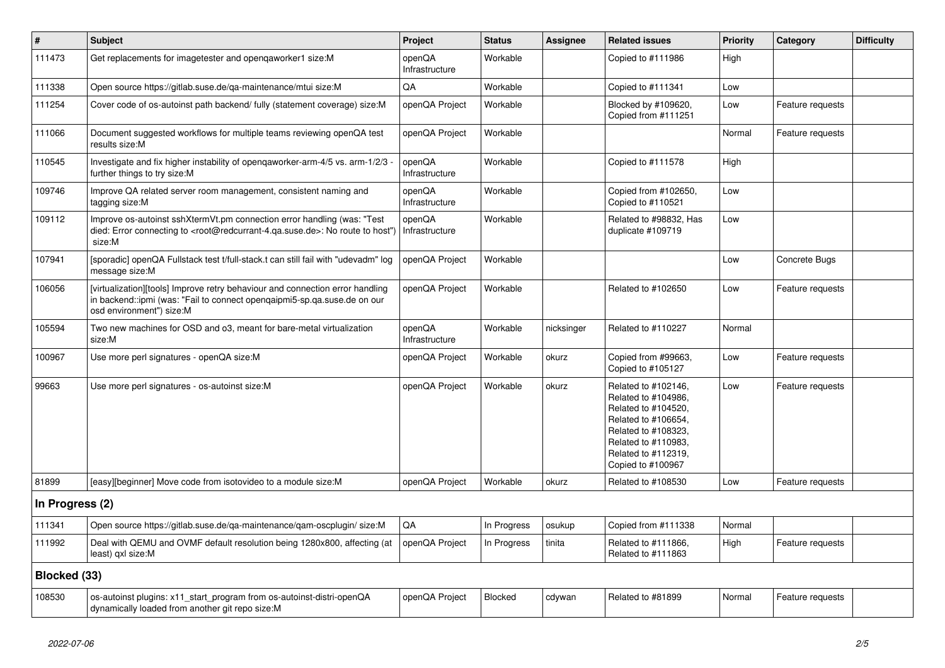| $\vert$ #       | <b>Subject</b>                                                                                                                                                                                    | Project                  | <b>Status</b> | <b>Assignee</b> | <b>Related issues</b>                                                                                                                                                              | Priority | Category         | <b>Difficulty</b> |
|-----------------|---------------------------------------------------------------------------------------------------------------------------------------------------------------------------------------------------|--------------------------|---------------|-----------------|------------------------------------------------------------------------------------------------------------------------------------------------------------------------------------|----------|------------------|-------------------|
| 111473          | Get replacements for imagetester and opengaworker1 size:M                                                                                                                                         | openQA<br>Infrastructure | Workable      |                 | Copied to #111986                                                                                                                                                                  | High     |                  |                   |
| 111338          | Open source https://gitlab.suse.de/qa-maintenance/mtui size:M                                                                                                                                     | QA                       | Workable      |                 | Copied to #111341                                                                                                                                                                  | Low      |                  |                   |
| 111254          | Cover code of os-autoinst path backend/ fully (statement coverage) size:M                                                                                                                         | openQA Project           | Workable      |                 | Blocked by #109620,<br>Copied from #111251                                                                                                                                         | Low      | Feature requests |                   |
| 111066          | Document suggested workflows for multiple teams reviewing openQA test<br>results size:M                                                                                                           | openQA Project           | Workable      |                 |                                                                                                                                                                                    | Normal   | Feature requests |                   |
| 110545          | Investigate and fix higher instability of opengaworker-arm-4/5 vs. arm-1/2/3 -<br>further things to try size:M                                                                                    | openQA<br>Infrastructure | Workable      |                 | Copied to #111578                                                                                                                                                                  | High     |                  |                   |
| 109746          | Improve QA related server room management, consistent naming and<br>tagging size:M                                                                                                                | openQA<br>Infrastructure | Workable      |                 | Copied from #102650,<br>Copied to #110521                                                                                                                                          | Low      |                  |                   |
| 109112          | Improve os-autoinst sshXtermVt.pm connection error handling (was: "Test<br>died: Error connecting to <root@redcurrant-4.qa.suse.de>: No route to host")<br/>size:M</root@redcurrant-4.qa.suse.de> | openQA<br>Infrastructure | Workable      |                 | Related to #98832, Has<br>duplicate #109719                                                                                                                                        | Low      |                  |                   |
| 107941          | [sporadic] openQA Fullstack test t/full-stack.t can still fail with "udevadm" log<br>message size:M                                                                                               | openQA Project           | Workable      |                 |                                                                                                                                                                                    | Low      | Concrete Bugs    |                   |
| 106056          | [virtualization][tools] Improve retry behaviour and connection error handling<br>in backend::ipmi (was: "Fail to connect opengaipmi5-sp.ga.suse.de on our<br>osd environment") size:M             | openQA Project           | Workable      |                 | Related to #102650                                                                                                                                                                 | Low      | Feature requests |                   |
| 105594          | Two new machines for OSD and o3, meant for bare-metal virtualization<br>size:M                                                                                                                    | openQA<br>Infrastructure | Workable      | nicksinger      | Related to #110227                                                                                                                                                                 | Normal   |                  |                   |
| 100967          | Use more perl signatures - openQA size:M                                                                                                                                                          | openQA Project           | Workable      | okurz           | Copied from #99663,<br>Copied to #105127                                                                                                                                           | Low      | Feature requests |                   |
| 99663           | Use more perl signatures - os-autoinst size:M                                                                                                                                                     | openQA Project           | Workable      | okurz           | Related to #102146,<br>Related to #104986,<br>Related to #104520,<br>Related to #106654,<br>Related to #108323,<br>Related to #110983,<br>Related to #112319,<br>Copied to #100967 | Low      | Feature requests |                   |
| 81899           | [easy][beginner] Move code from isotovideo to a module size: M                                                                                                                                    | openQA Project           | Workable      | okurz           | Related to #108530                                                                                                                                                                 | Low      | Feature requests |                   |
| In Progress (2) |                                                                                                                                                                                                   |                          |               |                 |                                                                                                                                                                                    |          |                  |                   |
| 111341          | Open source https://gitlab.suse.de/qa-maintenance/qam-oscplugin/ size:M                                                                                                                           | QA                       | In Progress   | osukup          | Copied from #111338                                                                                                                                                                | Normal   |                  |                   |
| 111992          | Deal with QEMU and OVMF default resolution being 1280x800, affecting (at<br>least) qxl size:M                                                                                                     | openQA Project           | In Progress   | tinita          | Related to #111866,<br>Related to #111863                                                                                                                                          | High     | Feature requests |                   |
| Blocked (33)    |                                                                                                                                                                                                   |                          |               |                 |                                                                                                                                                                                    |          |                  |                   |
| 108530          | os-autoinst plugins: x11_start_program from os-autoinst-distri-openQA<br>dynamically loaded from another git repo size:M                                                                          | openQA Project           | Blocked       | cdywan          | Related to #81899                                                                                                                                                                  | Normal   | Feature requests |                   |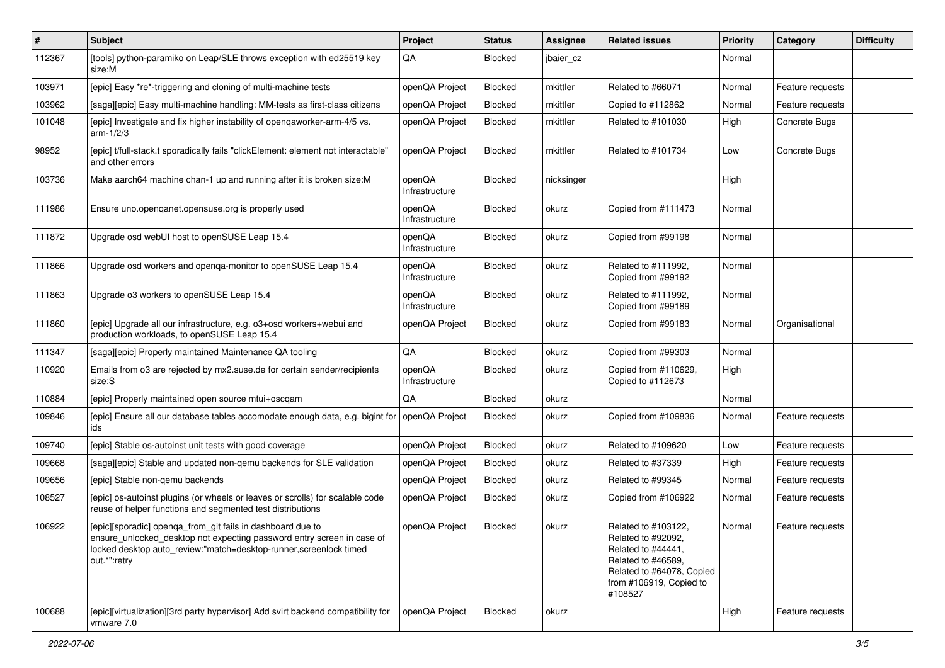| $\vert$ # | <b>Subject</b>                                                                                                                                                                                                             | Project                  | <b>Status</b> | <b>Assignee</b> | <b>Related issues</b>                                                                                                                                    | <b>Priority</b> | Category         | <b>Difficulty</b> |
|-----------|----------------------------------------------------------------------------------------------------------------------------------------------------------------------------------------------------------------------------|--------------------------|---------------|-----------------|----------------------------------------------------------------------------------------------------------------------------------------------------------|-----------------|------------------|-------------------|
| 112367    | [tools] python-paramiko on Leap/SLE throws exception with ed25519 key<br>size:M                                                                                                                                            | QA                       | Blocked       | jbaier_cz       |                                                                                                                                                          | Normal          |                  |                   |
| 103971    | [epic] Easy *re*-triggering and cloning of multi-machine tests                                                                                                                                                             | openQA Project           | Blocked       | mkittler        | Related to #66071                                                                                                                                        | Normal          | Feature requests |                   |
| 103962    | [saga][epic] Easy multi-machine handling: MM-tests as first-class citizens                                                                                                                                                 | openQA Project           | Blocked       | mkittler        | Copied to #112862                                                                                                                                        | Normal          | Feature requests |                   |
| 101048    | [epic] Investigate and fix higher instability of opengaworker-arm-4/5 vs.<br>$arm-1/2/3$                                                                                                                                   | openQA Project           | Blocked       | mkittler        | Related to #101030                                                                                                                                       | High            | Concrete Bugs    |                   |
| 98952     | [epic] t/full-stack.t sporadically fails "clickElement: element not interactable"<br>and other errors                                                                                                                      | openQA Project           | Blocked       | mkittler        | Related to #101734                                                                                                                                       | Low             | Concrete Bugs    |                   |
| 103736    | Make aarch64 machine chan-1 up and running after it is broken size: M                                                                                                                                                      | openQA<br>Infrastructure | Blocked       | nicksinger      |                                                                                                                                                          | High            |                  |                   |
| 111986    | Ensure uno.openganet.opensuse.org is properly used                                                                                                                                                                         | openQA<br>Infrastructure | Blocked       | okurz           | Copied from #111473                                                                                                                                      | Normal          |                  |                   |
| 111872    | Upgrade osd webUI host to openSUSE Leap 15.4                                                                                                                                                                               | openQA<br>Infrastructure | Blocked       | okurz           | Copied from #99198                                                                                                                                       | Normal          |                  |                   |
| 111866    | Upgrade osd workers and openga-monitor to openSUSE Leap 15.4                                                                                                                                                               | openQA<br>Infrastructure | Blocked       | okurz           | Related to #111992,<br>Copied from #99192                                                                                                                | Normal          |                  |                   |
| 111863    | Upgrade o3 workers to openSUSE Leap 15.4                                                                                                                                                                                   | openQA<br>Infrastructure | Blocked       | okurz           | Related to #111992,<br>Copied from #99189                                                                                                                | Normal          |                  |                   |
| 111860    | [epic] Upgrade all our infrastructure, e.g. o3+osd workers+webui and<br>production workloads, to openSUSE Leap 15.4                                                                                                        | openQA Project           | Blocked       | okurz           | Copied from #99183                                                                                                                                       | Normal          | Organisational   |                   |
| 111347    | [saga][epic] Properly maintained Maintenance QA tooling                                                                                                                                                                    | QA                       | Blocked       | okurz           | Copied from #99303                                                                                                                                       | Normal          |                  |                   |
| 110920    | Emails from 03 are rejected by mx2.suse.de for certain sender/recipients<br>size:S                                                                                                                                         | openQA<br>Infrastructure | Blocked       | okurz           | Copied from #110629,<br>Copied to #112673                                                                                                                | High            |                  |                   |
| 110884    | [epic] Properly maintained open source mtui+oscqam                                                                                                                                                                         | QA                       | Blocked       | okurz           |                                                                                                                                                          | Normal          |                  |                   |
| 109846    | [epic] Ensure all our database tables accomodate enough data, e.g. bigint for<br>ids                                                                                                                                       | openQA Project           | Blocked       | okurz           | Copied from #109836                                                                                                                                      | Normal          | Feature requests |                   |
| 109740    | [epic] Stable os-autoinst unit tests with good coverage                                                                                                                                                                    | openQA Project           | Blocked       | okurz           | Related to #109620                                                                                                                                       | Low             | Feature requests |                   |
| 109668    | [saga][epic] Stable and updated non-gemu backends for SLE validation                                                                                                                                                       | openQA Project           | Blocked       | okurz           | Related to #37339                                                                                                                                        | High            | Feature requests |                   |
| 109656    | [epic] Stable non-gemu backends                                                                                                                                                                                            | openQA Project           | Blocked       | okurz           | Related to #99345                                                                                                                                        | Normal          | Feature requests |                   |
| 108527    | [epic] os-autoinst plugins (or wheels or leaves or scrolls) for scalable code<br>reuse of helper functions and segmented test distributions                                                                                | openQA Project           | Blocked       | okurz           | Copied from #106922                                                                                                                                      | Normal          | Feature requests |                   |
| 106922    | [epic][sporadic] openqa_from_git fails in dashboard due to<br>ensure_unlocked_desktop not expecting password entry screen in case of<br>locked desktop auto_review:"match=desktop-runner, screenlock timed<br>out.*":retry | openQA Project           | Blocked       | okurz           | Related to #103122,<br>Related to #92092,<br>Related to #44441,<br>Related to #46589,<br>Related to #64078, Copied<br>from #106919, Copied to<br>#108527 | Normal          | Feature requests |                   |
| 100688    | [epic][virtualization][3rd party hypervisor] Add svirt backend compatibility for<br>vmware 7.0                                                                                                                             | openQA Project           | Blocked       | okurz           |                                                                                                                                                          | High            | Feature requests |                   |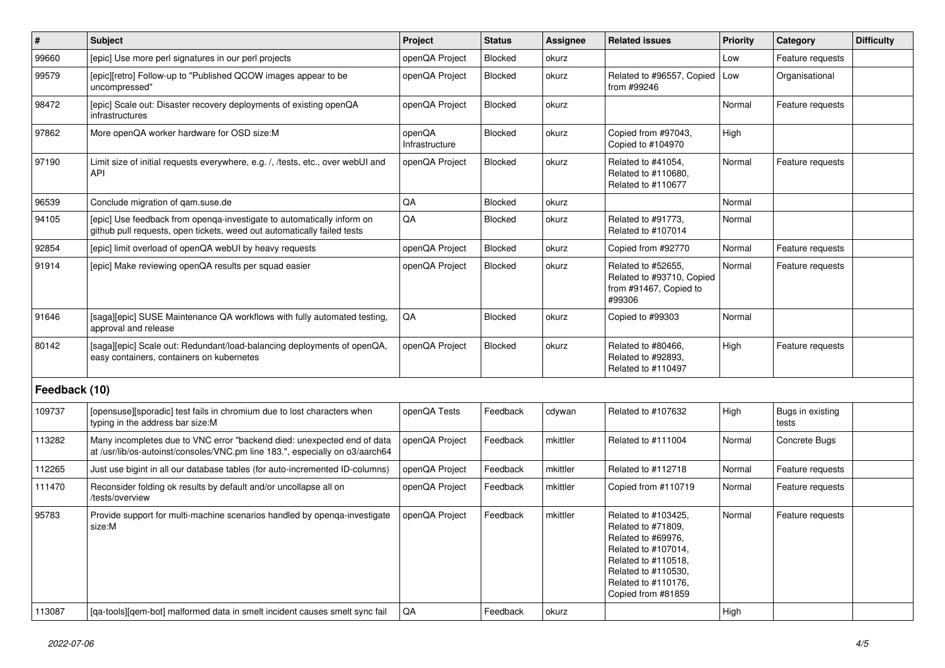| $\vert$ #     | <b>Subject</b>                                                                                                                                          | Project                  | <b>Status</b>  | Assignee | <b>Related issues</b>                                                                                                                                                             | <b>Priority</b> | Category                  | <b>Difficulty</b> |
|---------------|---------------------------------------------------------------------------------------------------------------------------------------------------------|--------------------------|----------------|----------|-----------------------------------------------------------------------------------------------------------------------------------------------------------------------------------|-----------------|---------------------------|-------------------|
| 99660         | [epic] Use more perl signatures in our perl projects                                                                                                    | openQA Project           | <b>Blocked</b> | okurz    |                                                                                                                                                                                   | Low             | Feature requests          |                   |
| 99579         | [epic][retro] Follow-up to "Published QCOW images appear to be<br>uncompressed"                                                                         | openQA Project           | Blocked        | okurz    | Related to #96557, Copied<br>from #99246                                                                                                                                          | Low             | Organisational            |                   |
| 98472         | [epic] Scale out: Disaster recovery deployments of existing openQA<br>infrastructures                                                                   | openQA Project           | Blocked        | okurz    |                                                                                                                                                                                   | Normal          | Feature requests          |                   |
| 97862         | More openQA worker hardware for OSD size:M                                                                                                              | openQA<br>Infrastructure | Blocked        | okurz    | Copied from #97043,<br>Copied to #104970                                                                                                                                          | High            |                           |                   |
| 97190         | Limit size of initial requests everywhere, e.g. /, /tests, etc., over webUI and<br><b>API</b>                                                           | openQA Project           | Blocked        | okurz    | Related to #41054,<br>Related to #110680,<br>Related to #110677                                                                                                                   | Normal          | Feature requests          |                   |
| 96539         | Conclude migration of qam.suse.de                                                                                                                       | QA                       | Blocked        | okurz    |                                                                                                                                                                                   | Normal          |                           |                   |
| 94105         | [epic] Use feedback from openga-investigate to automatically inform on<br>github pull requests, open tickets, weed out automatically failed tests       | QA                       | <b>Blocked</b> | okurz    | Related to #91773,<br>Related to #107014                                                                                                                                          | Normal          |                           |                   |
| 92854         | [epic] limit overload of openQA webUI by heavy requests                                                                                                 | openQA Project           | Blocked        | okurz    | Copied from #92770                                                                                                                                                                | Normal          | Feature requests          |                   |
| 91914         | [epic] Make reviewing openQA results per squad easier                                                                                                   | openQA Project           | Blocked        | okurz    | Related to #52655,<br>Related to #93710, Copied<br>from #91467, Copied to<br>#99306                                                                                               | Normal          | Feature requests          |                   |
| 91646         | [saga][epic] SUSE Maintenance QA workflows with fully automated testing,<br>approval and release                                                        | QA                       | Blocked        | okurz    | Copied to #99303                                                                                                                                                                  | Normal          |                           |                   |
| 80142         | [saga][epic] Scale out: Redundant/load-balancing deployments of openQA,<br>easy containers, containers on kubernetes                                    | openQA Project           | <b>Blocked</b> | okurz    | Related to #80466,<br>Related to #92893,<br>Related to #110497                                                                                                                    | High            | Feature requests          |                   |
| Feedback (10) |                                                                                                                                                         |                          |                |          |                                                                                                                                                                                   |                 |                           |                   |
| 109737        | [opensuse][sporadic] test fails in chromium due to lost characters when<br>typing in the address bar size:M                                             | openQA Tests             | Feedback       | cdywan   | Related to #107632                                                                                                                                                                | High            | Bugs in existing<br>tests |                   |
| 113282        | Many incompletes due to VNC error "backend died: unexpected end of data<br>at /usr/lib/os-autoinst/consoles/VNC.pm line 183.", especially on o3/aarch64 | openQA Project           | Feedback       | mkittler | Related to #111004                                                                                                                                                                | Normal          | Concrete Bugs             |                   |
| 112265        | Just use bigint in all our database tables (for auto-incremented ID-columns)                                                                            | openQA Project           | Feedback       | mkittler | Related to #112718                                                                                                                                                                | Normal          | Feature requests          |                   |
| 111470        | Reconsider folding ok results by default and/or uncollapse all on<br>/tests/overview                                                                    | openQA Project           | Feedback       | mkittler | Copied from #110719                                                                                                                                                               | Normal          | Feature requests          |                   |
| 95783         | Provide support for multi-machine scenarios handled by openga-investigate<br>size:M                                                                     | openQA Project           | Feedback       | mkittler | Related to #103425,<br>Related to #71809,<br>Related to #69976,<br>Related to #107014,<br>Related to #110518,<br>Related to #110530,<br>Related to #110176,<br>Copied from #81859 | Normal          | Feature requests          |                   |
| 113087        | [qa-tools][qem-bot] malformed data in smelt incident causes smelt sync fail                                                                             | QA                       | Feedback       | okurz    |                                                                                                                                                                                   | High            |                           |                   |